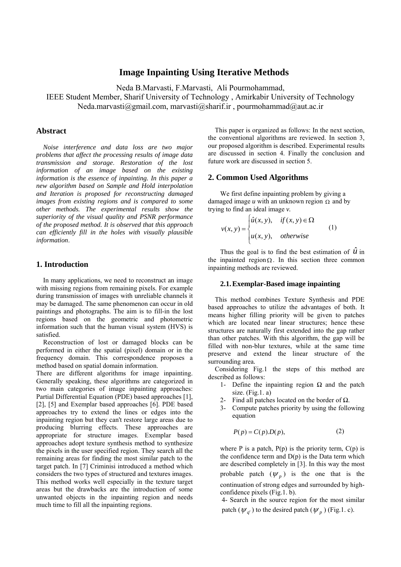# **Image Inpainting Using Iterative Methods**

Neda B.Marvasti, F.Marvasti, Ali Pourmohammad,

IEEE Student Member, Sharif University of Technology , Amirkabir University of Technology Neda.marvasti@gmail.com, marvasti@sharif.ir , pourmohammad@aut.ac.ir

## **Abstract**

*Noise interference and data loss are two major problems that affect the processing results of image data transmission and storage*. *Restoration of the lost information of an image based on the existing information is the essence of inpainting. In this paper a new algorithm based on Sample and Hold interpolation and Iteration is proposed for reconstructing damaged images from existing regions and is compared to some other methods. The experimental results show the superiority of the visual quality and PSNR performance of the proposed method. It is observed that this approach can efficiently fill in the holes with visually plausible information*.

### **1. Introduction**

In many applications, we need to reconstruct an image with missing regions from remaining pixels. For example during transmission of images with unreliable channels it may be damaged. The same phenomenon can occur in old paintings and photographs. The aim is to fill-in the lost regions based on the geometric and photometric information such that the human visual system (HVS) is satisfied.

 Reconstruction of lost or damaged blocks can be performed in either the spatial (pixel) domain or in the frequency domain. This correspondence proposes a method based on spatial domain information.

There are different algorithms for image inpainting. Generally speaking, these algorithms are categorized in two main categories of image inpainting approaches: Partial Differential Equation (PDE) based approaches [1], [2], [5] and Exemplar based approaches [6]. PDE based approaches try to extend the lines or edges into the inpainting region but they can't restore large areas due to producing blurring effects. These approaches are appropriate for structure images. Exemplar based approaches adopt texture synthesis method to synthesize the pixels in the user specified region. They search all the remaining areas for finding the most similar patch to the target patch. In [7] Criminisi introduced a method which considers the two types of structured and textures images. This method works well especially in the texture target areas but the drawbacks are the introduction of some unwanted objects in the inpainting region and needs much time to fill all the inpainting regions.

This paper is organized as follows: In the next section, the conventional algorithms are reviewed. In section 3, our proposed algorithm is described. Experimental results are discussed in section 4. Finally the conclusion and future work are discussed in section 5.

#### **2. Common Used Algorithms**

We first define inpainting problem by giving a damaged image  $u$  with an unknown region  $\Omega$  and by trying to find an ideal image *v.* 

$$
v(x, y) = \begin{cases} \hat{u}(x, y), & \text{if } (x, y) \in \Omega \\ u(x, y), & \text{otherwise} \end{cases}
$$
 (1)

Thus the goal is to find the best estimation of  $\hat{u}$  in the inpainted region  $\Omega$ . In this section three common inpainting methods are reviewed.

### **2.1.Exemplar-Based image inpainting**

This method combines Texture Synthesis and PDE based approaches to utilize the advantages of both. It means higher filling priority will be given to patches which are located near linear structures; hence these structures are naturally first extended into the gap rather than other patches. With this algorithm, the gap will be filled with non-blur textures, while at the same time preserve and extend the linear structure of the surrounding area*.*

Considering Fig.1 the steps of this method are described as follows:

- 1- Define the inpainting region  $\Omega$  and the patch size.  $(Fig.1. a)$
- 2- Find all patches located on the border of  $\Omega$ .
- 3- Compute patches priority by using the following equation

$$
P(p) = C(p) \cdot D(p),\tag{2}
$$

where P is a patch,  $P(p)$  is the priority term,  $C(p)$  is the confidence term and  $D(p)$  is the Data term which are described completely in [3]. In this way the most probable patch  $(\psi_p)$  is the one that is the continuation of strong edges and surrounded by highconfidence pixels (Fig.1. b).

4- Search in the source region for the most similar patch ( $\psi_q$ ) to the desired patch ( $\psi_p$ ) (Fig.1. c).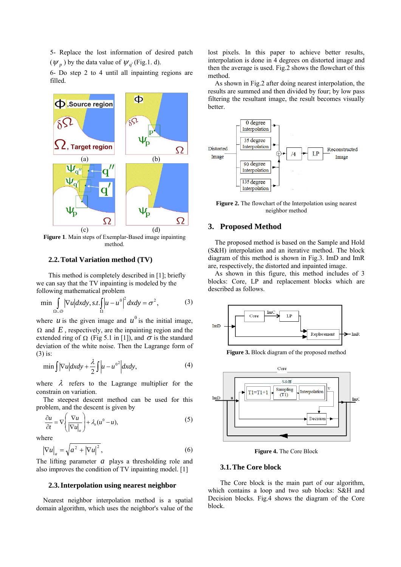5- Replace the lost information of desired patch  $(\psi_n)$  by the data value of  $\psi_{a'}$  (Fig.1. d).

6- Do step 2 to 4 until all inpainting regions are filled.



**Figure 1**. Main steps of Exemplar-Based image inpainting method.

### **2.2.Total Variation method (TV)**

This method is completely described in [1]; briefly we can say that the TV inpainting is modeled by the following mathematical problem

$$
\min \int_{\Omega \cup D} |\nabla u| dx dy, s.t. \int_{\Omega} |u - u^0|^2 dx dy = \sigma^2,
$$
 (3)

where *u* is the given image and  $u^0$  is the initial image,  $\Omega$  and  $E$ , respectively, are the inpainting region and the extended ring of  $\Omega$  (Fig 5.1 in [1]), and  $\sigma$  is the standard deviation of the white noise. Then the Lagrange form of (3) is:

$$
\min \int |\nabla u| dxdy + \frac{\lambda}{2} \int |u - u^{0^2}| dxdy,\tag{4}
$$

where  $\lambda$  refers to the Lagrange multiplier for the constrain on variation.

The steepest descent method can be used for this problem, and the descent is given by

$$
\frac{\partial u}{\partial t} = \nabla \left( \frac{\nabla u}{|\nabla u|_a} \right) + \lambda_e (u^0 - u),\tag{5}
$$

where

$$
\left|\nabla u\right|_a = \sqrt{a^2 + \left|\nabla u\right|^2},\tag{6}
$$

The lifting parameter *a* plays a thresholding role and also improves the condition of TV inpainting model. [1]

#### **2.3.Interpolation using nearest neighbor**

Nearest neighbor interpolation method is a spatial domain algorithm, which uses the neighbor's value of the

lost pixels. In this paper to achieve better results, interpolation is done in 4 degrees on distorted image and then the average is used. Fig.2 shows the flowchart of this method.

As shown in Fig.2 after doing nearest interpolation, the results are summed and then divided by four; by low pass filtering the resultant image, the result becomes visually better.



**Figure 2.** The flowchart of the Interpolation using nearest neighbor method

### **3. Proposed Method**

The proposed method is based on the Sample and Hold (S&H) interpolation and an iterative method. The block diagram of this method is shown in Fig.3. ImD and ImR are, respectively, the distorted and inpainted image.

As shown in this figure, this method includes of 3 blocks: Core, LP and replacement blocks which are described as follows.



**Figure 3.** Block diagram of the proposed method



**Figure 4.** The Core Block

### **3.1.The Core block**

The Core block is the main part of our algorithm, which contains a loop and two sub blocks: S&H and Decision blocks. Fig.4 shows the diagram of the Core block.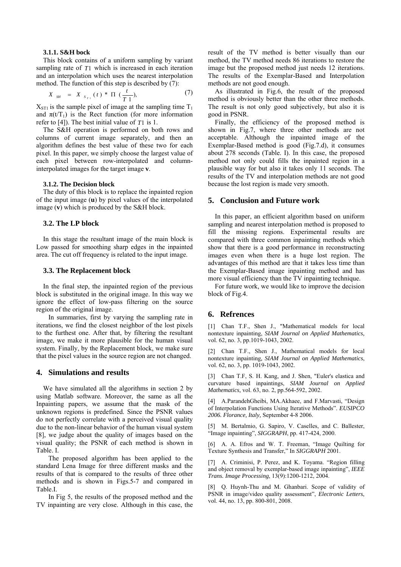#### **3.1.1. S&H bock**

This block contains of a uniform sampling by variant sampling rate of *T*1 which is increased in each iteration and an interpolation which uses the nearest interpolation method. The function of this step is described by (7):

$$
X_{sH} = X_{s_{T1}}(t) * \Pi \left(\frac{t}{T1}\right), \tag{7}
$$

 $X_{ST1}$  is the sample pixel of image at the sampling time  $T_1$ and  $\pi(VT_1)$  is the Rect function (for more information refer to [4]). The best initial value of *T*1 is 1.

 The S&H operation is performed on both rows and columns of current image separately, and then an algorithm defines the best value of these two for each pixel. In this paper, we simply choose the largest value of each pixel between row-interpolated and columninterpolated images for the target image **v**.

#### **3.1.2. The Decision block**

The duty of this block is to replace the inpainted region of the input image (**u**) by pixel values of the interpolated image (**v**) which is produced by the S&H block.

#### **3.2. The LP block**

 In this stage the resultant image of the main block is Low passed for smoothing sharp edges in the inpainted area. The cut off frequency is related to the input image.

#### **3.3. The Replacement block**

 In the final step, the inpainted region of the previous block is substituted in the original image. In this way we ignore the effect of low-pass filtering on the source region of the original image.

In summaries, first by varying the sampling rate in iterations, we find the closest neighbor of the lost pixels to the furthest one. After that, by filtering the resultant image, we make it more plausible for the human visual system. Finally, by the Replacement block, we make sure that the pixel values in the source region are not changed.

### **4. Simulations and results**

We have simulated all the algorithms in section 2 by using Matlab software. Moreover, the same as all the Inpainting papers, we assume that the mask of the unknown regions is predefined. Since the PSNR values do not perfectly correlate with a perceived visual quality due to the non-linear behavior of the human visual system [8], we judge about the quality of images based on the visual quality; the PSNR of each method is shown in Table. I.

The proposed algorithm has been applied to the standard Lena Image for three different masks and the results of that is compared to the results of three other methods and is shown in Figs.5-7 and compared in Table.I.

In Fig 5, the results of the proposed method and the TV inpainting are very close. Although in this case, the result of the TV method is better visually than our method, the TV method needs 86 iterations to restore the image but the proposed method just needs 12 iterations. The results of the Exemplar-Based and Interpolation methods are not good enough.

 As illustrated in Fig.6, the result of the proposed method is obviously better than the other three methods. The result is not only good subjectively, but also it is good in PSNR.

 Finally, the efficiency of the proposed method is shown in Fig.7, where three other methods are not acceptable. Although the inpainted image of the Exemplar-Based method is good (Fig.7.d), it consumes about 278 seconds (Table. I). In this case, the proposed method not only could fills the inpainted region in a plausible way for but also it takes only 11 seconds. The results of the TV and interpolation methods are not good because the lost region is made very smooth.

#### **5. Conclusion and Future work**

 In this paper, an efficient algorithm based on uniform sampling and nearest interpolation method is proposed to fill the missing regions. Experimental results are compared with three common inpainting methods which show that there is a good performance in reconstructing images even when there is a huge lost region. The advantages of this method are that it takes less time than the Exemplar-Based image inpainting method and has more visual efficiency than the TV inpainting technique.

 For future work, we would like to improve the decision block of Fig.4.

### **6. Refrences**

[1] Chan T.F., Shen J., "Mathematical models for local nontexture inpainting, *SIAM Journal on Applied Mathematics,*  vol. 62, no. 3, pp.1019-1043, 2002.

[2] Chan T.F., Shen J., Mathematical models for local nontexture inpainting*, SIAM Journal on Applied Mathematics*, vol. 62, no. 3, pp. 1019-1043, 2002.

[3] Chan T.F, S. H. Kang, and J. Shen, "Euler's elastica and curvature based inpaintings, *SIAM Journal on Applied Mathematics,* vol. 63, no. 2, pp.564-592, 2002.

[4] A.ParandehGheibi, MA.Akhaee, and F.Marvasti, "Design of Interpolation Functions Using Iterative Methods". *EUSIPCO 2006. Florance, Italy,* September 4-8 2006.

[5] M. Bertalmio, G. Sapiro, V. Caselles, and C. Ballester, "Image inpainting", *SIGGRAPH*, pp. 417-424, 2000.

[6] A. A. Efros and W. T. Freeman, "Image Quilting for Texture Synthesis and Transfer," In *SIGGRAPH* 2001.

[7] A. Criminisi, P. Perez, and K. Toyama. "Region filling and object removal by exemplar-based image inpainting", *IEEE Trans. Image Processing*, 13(9):1200-1212, 2004.

[8] Q. Huynh-Thu and M. Ghanbari. Scope of validity of PSNR in image/video quality assessment", *Electronic Letters*, vol. 44, no. 13, pp. 800-801, 2008.